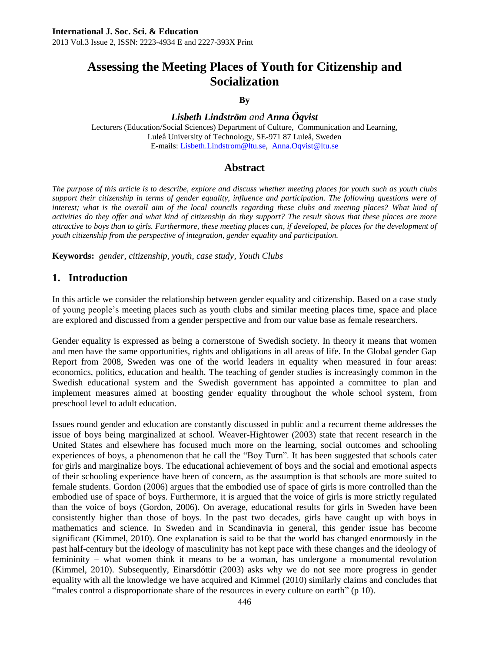# **Assessing the Meeting Places of Youth for Citizenship and Socialization**

#### **By**

## *Lisbeth Lindström and Anna Öqvist*

Lecturers (Education/Social Sciences) Department of Culture, Communication and Learning, Luleå University of Technology, SE-971 87 Luleå, Sweden E-mails: [Lisbeth.Lindstrom@ltu.se,](mailto:Lisbeth.Lindstrom@ltu.se) [Anna.Oqvist@ltu.se](mailto:Anna.Oqvist@ltu.se)

## **Abstract**

*The purpose of this article is to describe, explore and discuss whether meeting places for youth such as youth clubs support their citizenship in terms of gender equality, influence and participation. The following questions were of*  interest; what is the overall aim of the local councils regarding these clubs and meeting places? What kind of *activities do they offer and what kind of citizenship do they support? The result shows that these places are more attractive to boys than to girls. Furthermore, these meeting places can, if developed, be places for the development of youth citizenship from the perspective of integration, gender equality and participation.* 

**Keywords:** *gender, citizenship, youth, case study, Youth Clubs*

# **1. Introduction**

In this article we consider the relationship between gender equality and citizenship. Based on a case study of young people"s meeting places such as youth clubs and similar meeting places time, space and place are explored and discussed from a gender perspective and from our value base as female researchers.

Gender equality is expressed as being a cornerstone of Swedish society. In theory it means that women and men have the same opportunities, rights and obligations in all areas of life. In the Global gender Gap Report from 2008, Sweden was one of the world leaders in equality when measured in four areas: economics, politics, education and health. The teaching of gender studies is increasingly common in the Swedish educational system and the Swedish government has appointed a committee to plan and implement measures aimed at boosting gender equality throughout the whole school system, from preschool level to adult education.

Issues round gender and education are constantly discussed in public and a recurrent theme addresses the issue of boys being marginalized at school. Weaver-Hightower (2003) state that recent research in the United States and elsewhere has focused much more on the learning, social outcomes and schooling experiences of boys, a phenomenon that he call the "Boy Turn". It has been suggested that schools cater for girls and marginalize boys. The educational achievement of boys and the social and emotional aspects of their schooling experience have been of concern, as the assumption is that schools are more suited to female students. Gordon (2006) argues that the embodied use of space of girls is more controlled than the embodied use of space of boys. Furthermore, it is argued that the voice of girls is more strictly regulated than the voice of boys (Gordon, 2006). On average, educational results for girls in Sweden have been consistently higher than those of boys. In the past two decades, girls have caught up with boys in mathematics and science. In Sweden and in Scandinavia in general, this gender issue has become significant (Kimmel, 2010). One explanation is said to be that the world has changed enormously in the past half-century but the ideology of masculinity has not kept pace with these changes and the ideology of femininity – what women think it means to be a woman, has undergone a monumental revolution (Kimmel, 2010). Subsequently, Einarsdóttir (2003) asks why we do not see more progress in gender equality with all the knowledge we have acquired and Kimmel (2010) similarly claims and concludes that "males control a disproportionate share of the resources in every culture on earth" (p 10).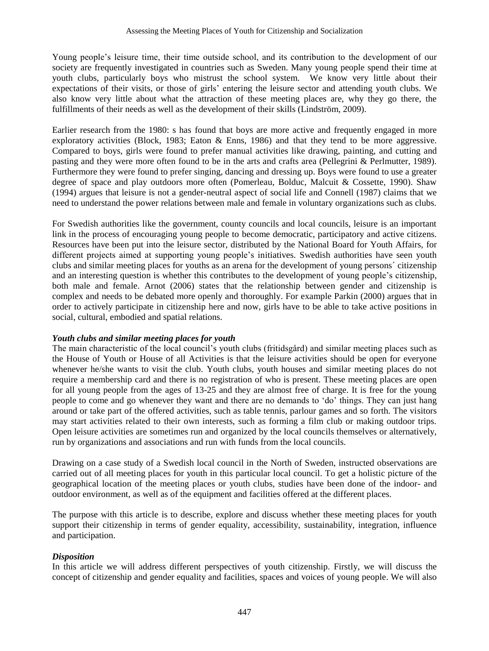Young people"s leisure time, their time outside school, and its contribution to the development of our society are frequently investigated in countries such as Sweden. Many young people spend their time at youth clubs, particularly boys who mistrust the school system. We know very little about their expectations of their visits, or those of girls" entering the leisure sector and attending youth clubs. We also know very little about what the attraction of these meeting places are, why they go there, the fulfillments of their needs as well as the development of their skills (Lindström, 2009).

Earlier research from the 1980: s has found that boys are more active and frequently engaged in more exploratory activities (Block, 1983; Eaton & Enns, 1986) and that they tend to be more aggressive. Compared to boys, girls were found to prefer manual activities like drawing, painting, and cutting and pasting and they were more often found to be in the arts and crafts area (Pellegrini & Perlmutter, 1989). Furthermore they were found to prefer singing, dancing and dressing up. Boys were found to use a greater degree of space and play outdoors more often (Pomerleau, Bolduc, Malcuit & Cossette, 1990). Shaw (1994) argues that leisure is not a gender-neutral aspect of social life and Connell (1987) claims that we need to understand the power relations between male and female in voluntary organizations such as clubs.

For Swedish authorities like the government, county councils and local councils, leisure is an important link in the process of encouraging young people to become democratic, participatory and active citizens. Resources have been put into the leisure sector, distributed by the National Board for Youth Affairs, for different projects aimed at supporting young people"s initiatives. Swedish authorities have seen youth clubs and similar meeting places for youths as an arena for the development of young persons´ citizenship and an interesting question is whether this contributes to the development of young people"s citizenship, both male and female. Arnot (2006) states that the relationship between gender and citizenship is complex and needs to be debated more openly and thoroughly. For example Parkin (2000) argues that in order to actively participate in citizenship here and now, girls have to be able to take active positions in social, cultural, embodied and spatial relations.

## *Youth clubs and similar meeting places for youth*

The main characteristic of the local council"s youth clubs (fritidsgård) and similar meeting places such as the House of Youth or House of all Activities is that the leisure activities should be open for everyone whenever he/she wants to visit the club. Youth clubs, youth houses and similar meeting places do not require a membership card and there is no registration of who is present. These meeting places are open for all young people from the ages of 13-25 and they are almost free of charge. It is free for the young people to come and go whenever they want and there are no demands to "do" things. They can just hang around or take part of the offered activities, such as table tennis, parlour games and so forth. The visitors may start activities related to their own interests, such as forming a film club or making outdoor trips. Open leisure activities are sometimes run and organized by the local councils themselves or alternatively, run by organizations and associations and run with funds from the local councils.

Drawing on a case study of a Swedish local council in the North of Sweden, instructed observations are carried out of all meeting places for youth in this particular local council. To get a holistic picture of the geographical location of the meeting places or youth clubs, studies have been done of the indoor- and outdoor environment, as well as of the equipment and facilities offered at the different places.

The purpose with this article is to describe, explore and discuss whether these meeting places for youth support their citizenship in terms of gender equality, accessibility, sustainability, integration, influence and participation.

## *Disposition*

In this article we will address different perspectives of youth citizenship. Firstly, we will discuss the concept of citizenship and gender equality and facilities, spaces and voices of young people. We will also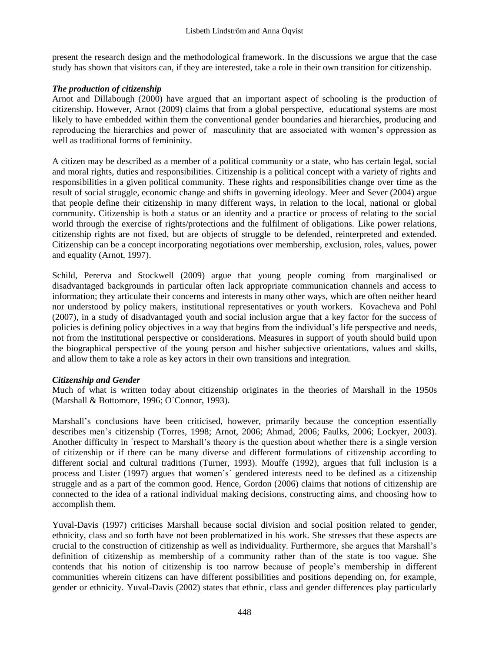present the research design and the methodological framework. In the discussions we argue that the case study has shown that visitors can, if they are interested, take a role in their own transition for citizenship.

#### *The production of citizenship*

Arnot and Dillabough (2000) have argued that an important aspect of schooling is the production of citizenship. However, Arnot (2009) claims that from a global perspective, educational systems are most likely to have embedded within them the conventional gender boundaries and hierarchies, producing and reproducing the hierarchies and power of masculinity that are associated with women"s oppression as well as traditional forms of femininity.

A citizen may be described as a member of a political community or a state, who has certain legal, social and moral rights, duties and responsibilities. Citizenship is a political concept with a variety of rights and responsibilities in a given political community. These rights and responsibilities change over time as the result of social struggle, economic change and shifts in governing ideology. Meer and Sever (2004) argue that people define their citizenship in many different ways, in relation to the local, national or global community. Citizenship is both a status or an identity and a practice or process of relating to the social world through the exercise of rights/protections and the fulfilment of obligations. Like power relations, citizenship rights are not fixed, but are objects of struggle to be defended, reinterpreted and extended. Citizenship can be a concept incorporating negotiations over membership, exclusion, roles, values, power and equality (Arnot, 1997).

Schild, Pererva and Stockwell (2009) argue that young people coming from marginalised or disadvantaged backgrounds in particular often lack appropriate communication channels and access to information; they articulate their concerns and interests in many other ways, which are often neither heard nor understood by policy makers, institutional representatives or youth workers. Kovacheva and Pohl (2007), in a study of disadvantaged youth and social inclusion argue that a key factor for the success of policies is defining policy objectives in a way that begins from the individual"s life perspective and needs, not from the institutional perspective or considerations. Measures in support of youth should build upon the biographical perspective of the young person and his/her subjective orientations, values and skills, and allow them to take a role as key actors in their own transitions and integration.

#### *Citizenship and Gender*

Much of what is written today about citizenship originates in the theories of Marshall in the 1950s (Marshall & Bottomore, 1996; O´Connor, 1993).

Marshall"s conclusions have been criticised, however, primarily because the conception essentially describes men"s citizenship (Torres, 1998; Arnot, 2006; Ahmad, 2006; Faulks, 2006; Lockyer, 2003). Another difficulty in ´respect to Marshall"s theory is the question about whether there is a single version of citizenship or if there can be many diverse and different formulations of citizenship according to different social and cultural traditions (Turner, 1993). Mouffe (1992), argues that full inclusion is a process and Lister (1997) argues that women"s´ gendered interests need to be defined as a citizenship struggle and as a part of the common good. Hence, Gordon (2006) claims that notions of citizenship are connected to the idea of a rational individual making decisions, constructing aims, and choosing how to accomplish them.

Yuval-Davis (1997) criticises Marshall because social division and social position related to gender, ethnicity, class and so forth have not been problematized in his work. She stresses that these aspects are crucial to the construction of citizenship as well as individuality. Furthermore, she argues that Marshall"s definition of citizenship as membership of a community rather than of the state is too vague. She contends that his notion of citizenship is too narrow because of people"s membership in different communities wherein citizens can have different possibilities and positions depending on, for example, gender or ethnicity. Yuval-Davis (2002) states that ethnic, class and gender differences play particularly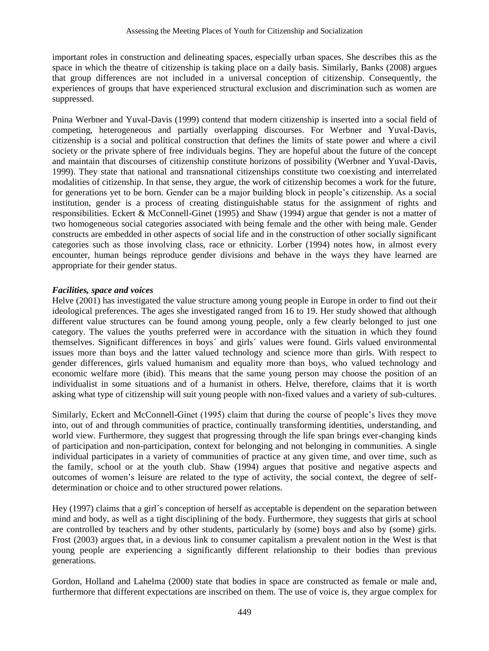important roles in construction and delineating spaces, especially urban spaces. She describes this as the space in which the theatre of citizenship is taking place on a daily basis. Similarly, Banks (2008) argues that group differences are not included in a universal conception of citizenship. Consequently, the experiences of groups that have experienced structural exclusion and discrimination such as women are suppressed.

Pnina Werbner and Yuval-Davis (1999) contend that modern citizenship is inserted into a social field of competing, heterogeneous and partially overlapping discourses. For Werbner and Yuval-Davis, citizenship is a social and political construction that defines the limits of state power and where a civil society or the private sphere of free individuals begins. They are hopeful about the future of the concept and maintain that discourses of citizenship constitute horizons of possibility (Werbner and Yuval-Davis, 1999). They state that national and transnational citizenships constitute two coexisting and interrelated modalities of citizenship. In that sense, they argue, the work of citizenship becomes a work for the future, for generations yet to be born. Gender can be a major building block in people"s citizenship. As a social institution, gender is a process of creating distinguishable status for the assignment of rights and responsibilities. Eckert & McConnell-Ginet (1995) and Shaw (1994) argue that gender is not a matter of two homogeneous social categories associated with being female and the other with being male. Gender constructs are embedded in other aspects of social life and in the construction of other socially significant categories such as those involving class, race or ethnicity. Lorber (1994) notes how, in almost every encounter, human beings reproduce gender divisions and behave in the ways they have learned are appropriate for their gender status.

#### *Facilities, space and voices*

Helve (2001) has investigated the value structure among young people in Europe in order to find out their ideological preferences. The ages she investigated ranged from 16 to 19. Her study showed that although different value structures can be found among young people, only a few clearly belonged to just one category. The values the youths preferred were in accordance with the situation in which they found themselves. Significant differences in boys´ and girls´ values were found. Girls valued environmental issues more than boys and the latter valued technology and science more than girls. With respect to gender differences, girls valued humanism and equality more than boys, who valued technology and economic welfare more (ibid). This means that the same young person may choose the position of an individualist in some situations and of a humanist in others. Helve, therefore, claims that it is worth asking what type of citizenship will suit young people with non-fixed values and a variety of sub-cultures.

Similarly, Eckert and McConnell-Ginet (1995) claim that during the course of people"s lives they move into, out of and through communities of practice, continually transforming identities, understanding, and world view. Furthermore, they suggest that progressing through the life span brings ever-changing kinds of participation and non-participation, context for belonging and not belonging in communities. A single individual participates in a variety of communities of practice at any given time, and over time, such as the family, school or at the youth club. Shaw (1994) argues that positive and negative aspects and outcomes of women"s leisure are related to the type of activity, the social context, the degree of selfdetermination or choice and to other structured power relations.

Hey (1997) claims that a girl´s conception of herself as acceptable is dependent on the separation between mind and body, as well as a tight disciplining of the body. Furthermore, they suggests that girls at school are controlled by teachers and by other students, particularly by (some) boys and also by (some) girls. Frost (2003) argues that, in a devious link to consumer capitalism a prevalent notion in the West is that young people are experiencing a significantly different relationship to their bodies than previous generations.

Gordon, Holland and Lahelma (2000) state that bodies in space are constructed as female or male and, furthermore that different expectations are inscribed on them. The use of voice is, they argue complex for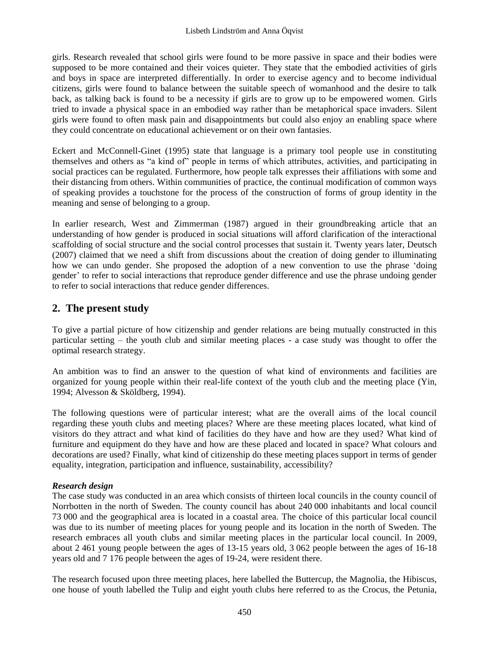girls. Research revealed that school girls were found to be more passive in space and their bodies were supposed to be more contained and their voices quieter. They state that the embodied activities of girls and boys in space are interpreted differentially. In order to exercise agency and to become individual citizens, girls were found to balance between the suitable speech of womanhood and the desire to talk back, as talking back is found to be a necessity if girls are to grow up to be empowered women. Girls tried to invade a physical space in an embodied way rather than be metaphorical space invaders. Silent girls were found to often mask pain and disappointments but could also enjoy an enabling space where they could concentrate on educational achievement or on their own fantasies.

Eckert and McConnell-Ginet (1995) state that language is a primary tool people use in constituting themselves and others as "a kind of" people in terms of which attributes, activities, and participating in social practices can be regulated. Furthermore, how people talk expresses their affiliations with some and their distancing from others. Within communities of practice, the continual modification of common ways of speaking provides a touchstone for the process of the construction of forms of group identity in the meaning and sense of belonging to a group.

In earlier research, West and Zimmerman (1987) argued in their groundbreaking article that an understanding of how gender is produced in social situations will afford clarification of the interactional scaffolding of social structure and the social control processes that sustain it. Twenty years later, Deutsch (2007) claimed that we need a shift from discussions about the creation of doing gender to illuminating how we can undo gender. She proposed the adoption of a new convention to use the phrase "doing gender" to refer to social interactions that reproduce gender difference and use the phrase undoing gender to refer to social interactions that reduce gender differences.

# **2. The present study**

To give a partial picture of how citizenship and gender relations are being mutually constructed in this particular setting – the youth club and similar meeting places - a case study was thought to offer the optimal research strategy.

An ambition was to find an answer to the question of what kind of environments and facilities are organized for young people within their real-life context of the youth club and the meeting place (Yin, 1994; Alvesson & Sköldberg, 1994).

The following questions were of particular interest; what are the overall aims of the local council regarding these youth clubs and meeting places? Where are these meeting places located, what kind of visitors do they attract and what kind of facilities do they have and how are they used? What kind of furniture and equipment do they have and how are these placed and located in space? What colours and decorations are used? Finally, what kind of citizenship do these meeting places support in terms of gender equality, integration, participation and influence, sustainability, accessibility?

## *Research design*

The case study was conducted in an area which consists of thirteen local councils in the county council of Norrbotten in the north of Sweden. The county council has about 240 000 inhabitants and local council 73 000 and the geographical area is located in a coastal area. The choice of this particular local council was due to its number of meeting places for young people and its location in the north of Sweden. The research embraces all youth clubs and similar meeting places in the particular local council. In 2009, about 2 461 young people between the ages of 13-15 years old, 3 062 people between the ages of 16-18 years old and 7 176 people between the ages of 19-24, were resident there.

The research focused upon three meeting places, here labelled the Buttercup, the Magnolia, the Hibiscus, one house of youth labelled the Tulip and eight youth clubs here referred to as the Crocus, the Petunia,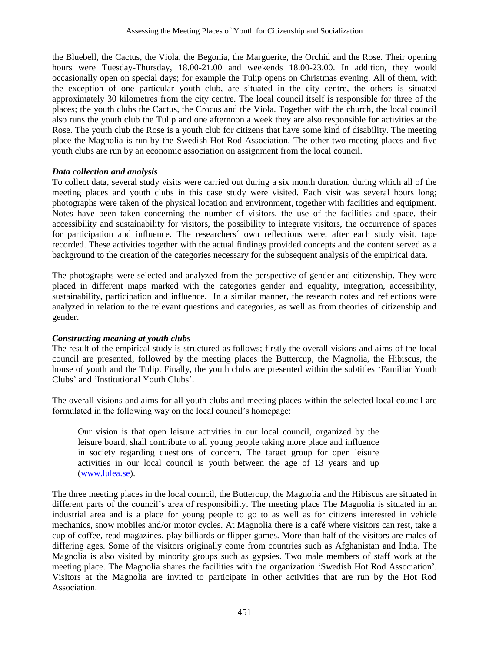the Bluebell, the Cactus, the Viola, the Begonia, the Marguerite, the Orchid and the Rose. Their opening hours were Tuesday-Thursday, 18.00-21.00 and weekends 18.00-23.00. In addition, they would occasionally open on special days; for example the Tulip opens on Christmas evening. All of them, with the exception of one particular youth club, are situated in the city centre, the others is situated approximately 30 kilometres from the city centre. The local council itself is responsible for three of the places; the youth clubs the Cactus, the Crocus and the Viola. Together with the church, the local council also runs the youth club the Tulip and one afternoon a week they are also responsible for activities at the Rose. The youth club the Rose is a youth club for citizens that have some kind of disability. The meeting place the Magnolia is run by the Swedish Hot Rod Association. The other two meeting places and five youth clubs are run by an economic association on assignment from the local council.

#### *Data collection and analysis*

To collect data, several study visits were carried out during a six month duration, during which all of the meeting places and youth clubs in this case study were visited. Each visit was several hours long; photographs were taken of the physical location and environment, together with facilities and equipment. Notes have been taken concerning the number of visitors, the use of the facilities and space, their accessibility and sustainability for visitors, the possibility to integrate visitors, the occurrence of spaces for participation and influence. The researchers´ own reflections were, after each study visit, tape recorded. These activities together with the actual findings provided concepts and the content served as a background to the creation of the categories necessary for the subsequent analysis of the empirical data.

The photographs were selected and analyzed from the perspective of gender and citizenship. They were placed in different maps marked with the categories gender and equality, integration, accessibility, sustainability, participation and influence. In a similar manner, the research notes and reflections were analyzed in relation to the relevant questions and categories, as well as from theories of citizenship and gender.

#### *Constructing meaning at youth clubs*

The result of the empirical study is structured as follows; firstly the overall visions and aims of the local council are presented, followed by the meeting places the Buttercup, the Magnolia, the Hibiscus, the house of youth and the Tulip. Finally, the youth clubs are presented within the subtitles "Familiar Youth Clubs" and "Institutional Youth Clubs".

The overall visions and aims for all youth clubs and meeting places within the selected local council are formulated in the following way on the local council's homepage:

Our vision is that open leisure activities in our local council, organized by the leisure board, shall contribute to all young people taking more place and influence in society regarding questions of concern. The target group for open leisure activities in our local council is youth between the age of 13 years and up [\(www.lulea.se\)](http://www.lulea.se/).

The three meeting places in the local council, the Buttercup, the Magnolia and the Hibiscus are situated in different parts of the council's area of responsibility. The meeting place The Magnolia is situated in an industrial area and is a place for young people to go to as well as for citizens interested in vehicle mechanics, snow mobiles and/or motor cycles. At Magnolia there is a café where visitors can rest, take a cup of coffee, read magazines, play billiards or flipper games. More than half of the visitors are males of differing ages. Some of the visitors originally come from countries such as Afghanistan and India. The Magnolia is also visited by minority groups such as gypsies. Two male members of staff work at the meeting place. The Magnolia shares the facilities with the organization "Swedish Hot Rod Association". Visitors at the Magnolia are invited to participate in other activities that are run by the Hot Rod Association.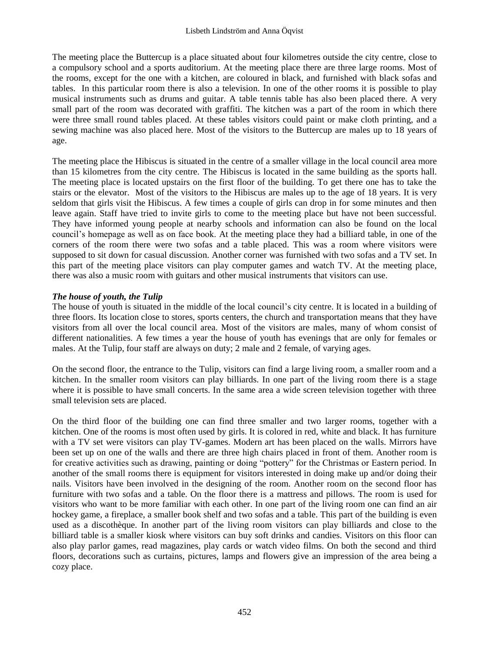The meeting place the Buttercup is a place situated about four kilometres outside the city centre, close to a compulsory school and a sports auditorium. At the meeting place there are three large rooms. Most of the rooms, except for the one with a kitchen, are coloured in black, and furnished with black sofas and tables. In this particular room there is also a television. In one of the other rooms it is possible to play musical instruments such as drums and guitar. A table tennis table has also been placed there. A very small part of the room was decorated with graffiti. The kitchen was a part of the room in which there were three small round tables placed. At these tables visitors could paint or make cloth printing, and a sewing machine was also placed here. Most of the visitors to the Buttercup are males up to 18 years of age.

The meeting place the Hibiscus is situated in the centre of a smaller village in the local council area more than 15 kilometres from the city centre. The Hibiscus is located in the same building as the sports hall. The meeting place is located upstairs on the first floor of the building. To get there one has to take the stairs or the elevator. Most of the visitors to the Hibiscus are males up to the age of 18 years. It is very seldom that girls visit the Hibiscus. A few times a couple of girls can drop in for some minutes and then leave again. Staff have tried to invite girls to come to the meeting place but have not been successful. They have informed young people at nearby schools and information can also be found on the local council"s homepage as well as on face book. At the meeting place they had a billiard table, in one of the corners of the room there were two sofas and a table placed. This was a room where visitors were supposed to sit down for casual discussion. Another corner was furnished with two sofas and a TV set. In this part of the meeting place visitors can play computer games and watch TV. At the meeting place, there was also a music room with guitars and other musical instruments that visitors can use.

#### *The house of youth, the Tulip*

The house of youth is situated in the middle of the local council"s city centre. It is located in a building of three floors. Its location close to stores, sports centers, the church and transportation means that they have visitors from all over the local council area. Most of the visitors are males, many of whom consist of different nationalities. A few times a year the house of youth has evenings that are only for females or males. At the Tulip, four staff are always on duty; 2 male and 2 female, of varying ages.

On the second floor, the entrance to the Tulip, visitors can find a large living room, a smaller room and a kitchen. In the smaller room visitors can play billiards. In one part of the living room there is a stage where it is possible to have small concerts. In the same area a wide screen television together with three small television sets are placed.

On the third floor of the building one can find three smaller and two larger rooms, together with a kitchen. One of the rooms is most often used by girls. It is colored in red, white and black. It has furniture with a TV set were visitors can play TV-games. Modern art has been placed on the walls. Mirrors have been set up on one of the walls and there are three high chairs placed in front of them. Another room is for creative activities such as drawing, painting or doing "pottery" for the Christmas or Eastern period. In another of the small rooms there is equipment for visitors interested in doing make up and/or doing their nails. Visitors have been involved in the designing of the room. Another room on the second floor has furniture with two sofas and a table. On the floor there is a mattress and pillows. The room is used for visitors who want to be more familiar with each other. In one part of the living room one can find an air hockey game, a fireplace, a smaller book shelf and two sofas and a table. This part of the building is even used as a discothèque. In another part of the living room visitors can play billiards and close to the billiard table is a smaller kiosk where visitors can buy soft drinks and candies. Visitors on this floor can also play parlor games, read magazines, play cards or watch video films. On both the second and third floors, decorations such as curtains, pictures, lamps and flowers give an impression of the area being a cozy place.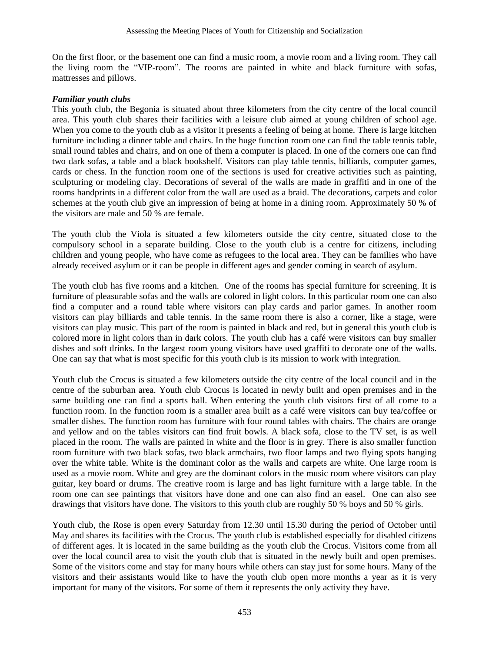On the first floor, or the basement one can find a music room, a movie room and a living room. They call the living room the "VIP-room". The rooms are painted in white and black furniture with sofas, mattresses and pillows.

#### *Familiar youth clubs*

This youth club, the Begonia is situated about three kilometers from the city centre of the local council area. This youth club shares their facilities with a leisure club aimed at young children of school age. When you come to the youth club as a visitor it presents a feeling of being at home. There is large kitchen furniture including a dinner table and chairs. In the huge function room one can find the table tennis table, small round tables and chairs, and on one of them a computer is placed. In one of the corners one can find two dark sofas, a table and a black bookshelf. Visitors can play table tennis, billiards, computer games, cards or chess. In the function room one of the sections is used for creative activities such as painting, sculpturing or modeling clay. Decorations of several of the walls are made in graffiti and in one of the rooms handprints in a different color from the wall are used as a braid. The decorations, carpets and color schemes at the youth club give an impression of being at home in a dining room. Approximately 50 % of the visitors are male and 50 % are female.

The youth club the Viola is situated a few kilometers outside the city centre, situated close to the compulsory school in a separate building. Close to the youth club is a centre for citizens, including children and young people, who have come as refugees to the local area. They can be families who have already received asylum or it can be people in different ages and gender coming in search of asylum.

The youth club has five rooms and a kitchen. One of the rooms has special furniture for screening. It is furniture of pleasurable sofas and the walls are colored in light colors. In this particular room one can also find a computer and a round table where visitors can play cards and parlor games. In another room visitors can play billiards and table tennis. In the same room there is also a corner, like a stage, were visitors can play music. This part of the room is painted in black and red, but in general this youth club is colored more in light colors than in dark colors. The youth club has a café were visitors can buy smaller dishes and soft drinks. In the largest room young visitors have used graffiti to decorate one of the walls. One can say that what is most specific for this youth club is its mission to work with integration.

Youth club the Crocus is situated a few kilometers outside the city centre of the local council and in the centre of the suburban area. Youth club Crocus is located in newly built and open premises and in the same building one can find a sports hall. When entering the youth club visitors first of all come to a function room. In the function room is a smaller area built as a café were visitors can buy tea/coffee or smaller dishes. The function room has furniture with four round tables with chairs. The chairs are orange and yellow and on the tables visitors can find fruit bowls. A black sofa, close to the TV set, is as well placed in the room. The walls are painted in white and the floor is in grey. There is also smaller function room furniture with two black sofas, two black armchairs, two floor lamps and two flying spots hanging over the white table. White is the dominant color as the walls and carpets are white. One large room is used as a movie room. White and grey are the dominant colors in the music room where visitors can play guitar, key board or drums. The creative room is large and has light furniture with a large table. In the room one can see paintings that visitors have done and one can also find an easel. One can also see drawings that visitors have done. The visitors to this youth club are roughly 50 % boys and 50 % girls.

Youth club, the Rose is open every Saturday from 12.30 until 15.30 during the period of October until May and shares its facilities with the Crocus. The youth club is established especially for disabled citizens of different ages. It is located in the same building as the youth club the Crocus. Visitors come from all over the local council area to visit the youth club that is situated in the newly built and open premises. Some of the visitors come and stay for many hours while others can stay just for some hours. Many of the visitors and their assistants would like to have the youth club open more months a year as it is very important for many of the visitors. For some of them it represents the only activity they have.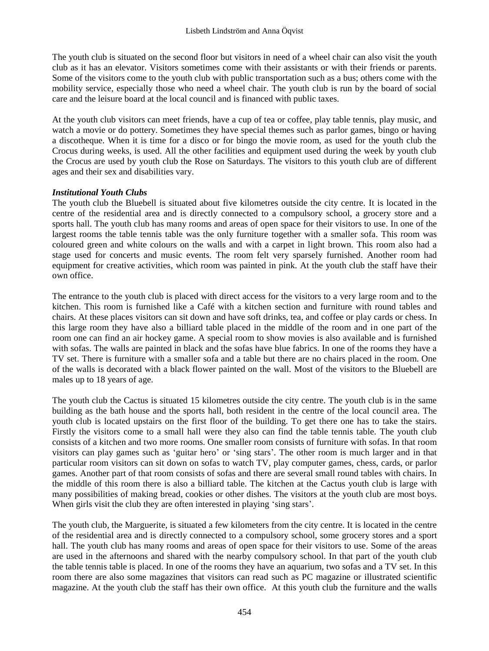The youth club is situated on the second floor but visitors in need of a wheel chair can also visit the youth club as it has an elevator. Visitors sometimes come with their assistants or with their friends or parents. Some of the visitors come to the youth club with public transportation such as a bus; others come with the mobility service, especially those who need a wheel chair. The youth club is run by the board of social care and the leisure board at the local council and is financed with public taxes.

At the youth club visitors can meet friends, have a cup of tea or coffee, play table tennis, play music, and watch a movie or do pottery. Sometimes they have special themes such as parlor games, bingo or having a discotheque. When it is time for a disco or for bingo the movie room, as used for the youth club the Crocus during weeks, is used. All the other facilities and equipment used during the week by youth club the Crocus are used by youth club the Rose on Saturdays. The visitors to this youth club are of different ages and their sex and disabilities vary.

#### *Institutional Youth Clubs*

The youth club the Bluebell is situated about five kilometres outside the city centre. It is located in the centre of the residential area and is directly connected to a compulsory school, a grocery store and a sports hall. The youth club has many rooms and areas of open space for their visitors to use. In one of the largest rooms the table tennis table was the only furniture together with a smaller sofa. This room was coloured green and white colours on the walls and with a carpet in light brown. This room also had a stage used for concerts and music events. The room felt very sparsely furnished. Another room had equipment for creative activities, which room was painted in pink. At the youth club the staff have their own office.

The entrance to the youth club is placed with direct access for the visitors to a very large room and to the kitchen. This room is furnished like a Café with a kitchen section and furniture with round tables and chairs. At these places visitors can sit down and have soft drinks, tea, and coffee or play cards or chess. In this large room they have also a billiard table placed in the middle of the room and in one part of the room one can find an air hockey game. A special room to show movies is also available and is furnished with sofas. The walls are painted in black and the sofas have blue fabrics. In one of the rooms they have a TV set. There is furniture with a smaller sofa and a table but there are no chairs placed in the room. One of the walls is decorated with a black flower painted on the wall. Most of the visitors to the Bluebell are males up to 18 years of age.

The youth club the Cactus is situated 15 kilometres outside the city centre. The youth club is in the same building as the bath house and the sports hall, both resident in the centre of the local council area. The youth club is located upstairs on the first floor of the building. To get there one has to take the stairs. Firstly the visitors come to a small hall were they also can find the table tennis table. The youth club consists of a kitchen and two more rooms. One smaller room consists of furniture with sofas. In that room visitors can play games such as "guitar hero" or "sing stars". The other room is much larger and in that particular room visitors can sit down on sofas to watch TV, play computer games, chess, cards, or parlor games. Another part of that room consists of sofas and there are several small round tables with chairs. In the middle of this room there is also a billiard table. The kitchen at the Cactus youth club is large with many possibilities of making bread, cookies or other dishes. The visitors at the youth club are most boys. When girls visit the club they are often interested in playing 'sing stars'.

The youth club, the Marguerite, is situated a few kilometers from the city centre. It is located in the centre of the residential area and is directly connected to a compulsory school, some grocery stores and a sport hall. The youth club has many rooms and areas of open space for their visitors to use. Some of the areas are used in the afternoons and shared with the nearby compulsory school. In that part of the youth club the table tennis table is placed. In one of the rooms they have an aquarium, two sofas and a TV set. In this room there are also some magazines that visitors can read such as PC magazine or illustrated scientific magazine. At the youth club the staff has their own office. At this youth club the furniture and the walls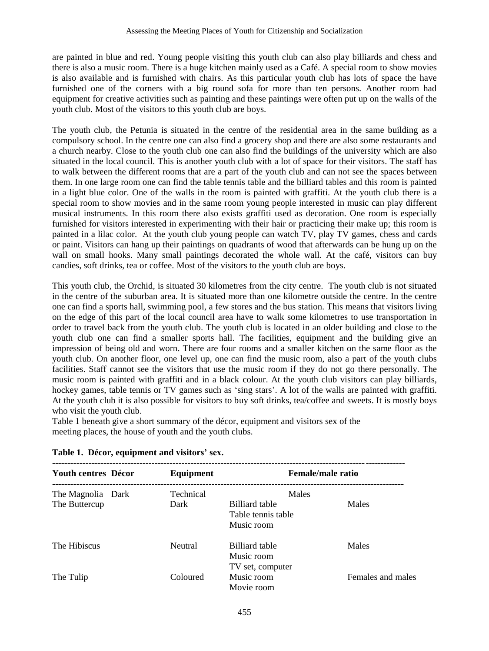are painted in blue and red. Young people visiting this youth club can also play billiards and chess and there is also a music room. There is a huge kitchen mainly used as a Café. A special room to show movies is also available and is furnished with chairs. As this particular youth club has lots of space the have furnished one of the corners with a big round sofa for more than ten persons. Another room had equipment for creative activities such as painting and these paintings were often put up on the walls of the youth club. Most of the visitors to this youth club are boys.

The youth club, the Petunia is situated in the centre of the residential area in the same building as a compulsory school. In the centre one can also find a grocery shop and there are also some restaurants and a church nearby. Close to the youth club one can also find the buildings of the university which are also situated in the local council. This is another youth club with a lot of space for their visitors. The staff has to walk between the different rooms that are a part of the youth club and can not see the spaces between them. In one large room one can find the table tennis table and the billiard tables and this room is painted in a light blue color. One of the walls in the room is painted with graffiti. At the youth club there is a special room to show movies and in the same room young people interested in music can play different musical instruments. In this room there also exists graffiti used as decoration. One room is especially furnished for visitors interested in experimenting with their hair or practicing their make up; this room is painted in a lilac color. At the youth club young people can watch TV, play TV games, chess and cards or paint. Visitors can hang up their paintings on quadrants of wood that afterwards can be hung up on the wall on small hooks. Many small paintings decorated the whole wall. At the café, visitors can buy candies, soft drinks, tea or coffee. Most of the visitors to the youth club are boys.

This youth club, the Orchid, is situated 30 kilometres from the city centre. The youth club is not situated in the centre of the suburban area. It is situated more than one kilometre outside the centre. In the centre one can find a sports hall, swimming pool, a few stores and the bus station. This means that visitors living on the edge of this part of the local council area have to walk some kilometres to use transportation in order to travel back from the youth club. The youth club is located in an older building and close to the youth club one can find a smaller sports hall. The facilities, equipment and the building give an impression of being old and worn. There are four rooms and a smaller kitchen on the same floor as the youth club. On another floor, one level up, one can find the music room, also a part of the youth clubs facilities. Staff cannot see the visitors that use the music room if they do not go there personally. The music room is painted with graffiti and in a black colour. At the youth club visitors can play billiards, hockey games, table tennis or TV games such as 'sing stars'. A lot of the walls are painted with graffiti. At the youth club it is also possible for visitors to buy soft drinks, tea/coffee and sweets. It is mostly boys who visit the youth club.

Table 1 beneath give a short summary of the décor, equipment and visitors sex of the meeting places, the house of youth and the youth clubs.

| <b>Youth centres Décor</b>         | Equipment         | Female/male ratio                                           |                   |
|------------------------------------|-------------------|-------------------------------------------------------------|-------------------|
| The Magnolia Dark<br>The Buttercup | Technical<br>Dark | Males<br>Billiard table<br>Table tennis table<br>Music room | Males             |
| The Hibiscus                       | Neutral           | <b>Billiard table</b><br>Music room<br>TV set, computer     | Males             |
| The Tulip                          | Coloured          | Music room<br>Movie room                                    | Females and males |

|  | Table 1. Décor, equipment and visitors' sex. |
|--|----------------------------------------------|
|--|----------------------------------------------|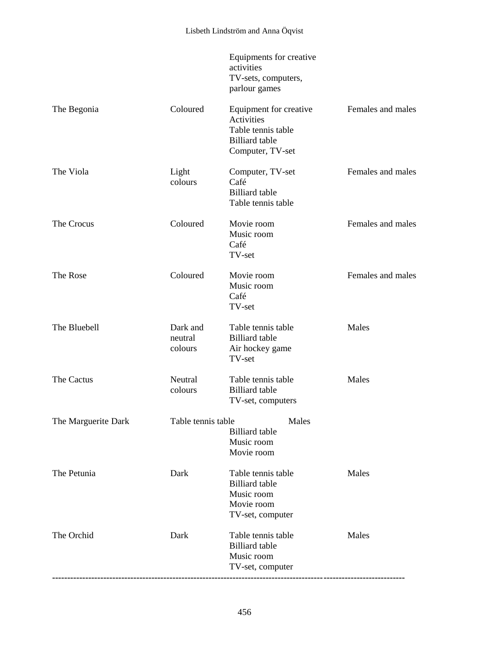|                     |                                | Equipments for creative<br>activities<br>TV-sets, computers,<br>parlour games                                  |                   |
|---------------------|--------------------------------|----------------------------------------------------------------------------------------------------------------|-------------------|
| The Begonia         | Coloured                       | Equipment for creative<br><b>Activities</b><br>Table tennis table<br><b>Billiard</b> table<br>Computer, TV-set | Females and males |
| The Viola           | Light<br>colours               | Computer, TV-set<br>Café<br><b>Billiard</b> table<br>Table tennis table                                        | Females and males |
| The Crocus          | Coloured                       | Movie room<br>Music room<br>Café<br>TV-set                                                                     | Females and males |
| The Rose            | Coloured                       | Movie room<br>Music room<br>Café<br>TV-set                                                                     | Females and males |
| The Bluebell        | Dark and<br>neutral<br>colours | Table tennis table<br><b>Billiard</b> table<br>Air hockey game<br>TV-set                                       | Males             |
| The Cactus          | Neutral<br>colours             | Table tennis table<br><b>Billiard</b> table<br>TV-set, computers                                               | Males             |
| The Marguerite Dark | Table tennis table             | Males<br><b>Billiard</b> table<br>Music room<br>Movie room                                                     |                   |
| The Petunia         | Dark                           | Table tennis table<br><b>Billiard</b> table<br>Music room<br>Movie room<br>TV-set, computer                    | Males             |
| The Orchid          | Dark                           | Table tennis table<br><b>Billiard</b> table<br>Music room<br>TV-set, computer                                  | Males             |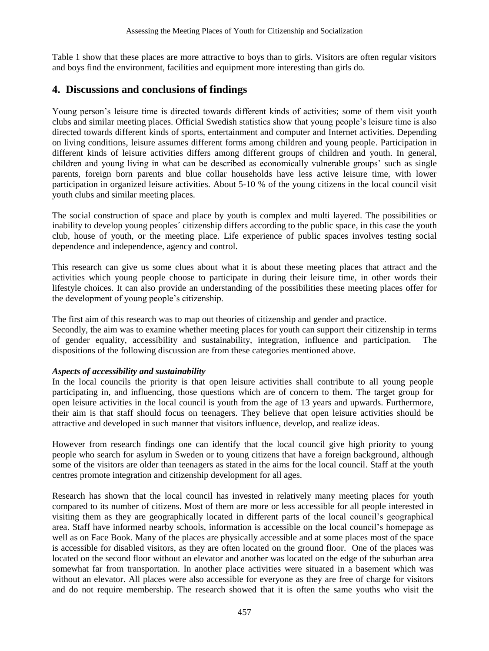Table 1 show that these places are more attractive to boys than to girls. Visitors are often regular visitors and boys find the environment, facilities and equipment more interesting than girls do.

# **4. Discussions and conclusions of findings**

Young person"s leisure time is directed towards different kinds of activities; some of them visit youth clubs and similar meeting places. Official Swedish statistics show that young people"s leisure time is also directed towards different kinds of sports, entertainment and computer and Internet activities. Depending on living conditions, leisure assumes different forms among children and young people. Participation in different kinds of leisure activities differs among different groups of children and youth. In general, children and young living in what can be described as economically vulnerable groups" such as single parents, foreign born parents and blue collar households have less active leisure time, with lower participation in organized leisure activities. About 5-10 % of the young citizens in the local council visit youth clubs and similar meeting places.

The social construction of space and place by youth is complex and multi layered. The possibilities or inability to develop young peoples´ citizenship differs according to the public space, in this case the youth club, house of youth, or the meeting place. Life experience of public spaces involves testing social dependence and independence, agency and control.

This research can give us some clues about what it is about these meeting places that attract and the activities which young people choose to participate in during their leisure time, in other words their lifestyle choices. It can also provide an understanding of the possibilities these meeting places offer for the development of young people"s citizenship.

The first aim of this research was to map out theories of citizenship and gender and practice.

Secondly, the aim was to examine whether meeting places for youth can support their citizenship in terms of gender equality, accessibility and sustainability, integration, influence and participation. The dispositions of the following discussion are from these categories mentioned above.

#### *Aspects of accessibility and sustainability*

In the local councils the priority is that open leisure activities shall contribute to all young people participating in, and influencing, those questions which are of concern to them. The target group for open leisure activities in the local council is youth from the age of 13 years and upwards. Furthermore, their aim is that staff should focus on teenagers. They believe that open leisure activities should be attractive and developed in such manner that visitors influence, develop, and realize ideas.

However from research findings one can identify that the local council give high priority to young people who search for asylum in Sweden or to young citizens that have a foreign background, although some of the visitors are older than teenagers as stated in the aims for the local council. Staff at the youth centres promote integration and citizenship development for all ages.

Research has shown that the local council has invested in relatively many meeting places for youth compared to its number of citizens. Most of them are more or less accessible for all people interested in visiting them as they are geographically located in different parts of the local council"s geographical area. Staff have informed nearby schools, information is accessible on the local council"s homepage as well as on Face Book. Many of the places are physically accessible and at some places most of the space is accessible for disabled visitors, as they are often located on the ground floor. One of the places was located on the second floor without an elevator and another was located on the edge of the suburban area somewhat far from transportation. In another place activities were situated in a basement which was without an elevator. All places were also accessible for everyone as they are free of charge for visitors and do not require membership. The research showed that it is often the same youths who visit the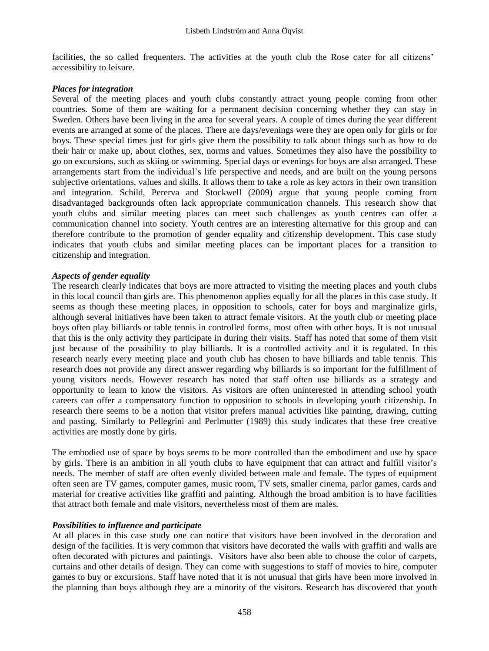facilities, the so called frequenters. The activities at the youth club the Rose cater for all citizens' accessibility to leisure.

#### *Places for integration*

Several of the meeting places and youth clubs constantly attract young people coming from other countries. Some of them are waiting for a permanent decision concerning whether they can stay in Sweden. Others have been living in the area for several years. A couple of times during the year different events are arranged at some of the places. There are days/evenings were they are open only for girls or for boys. These special times just for girls give them the possibility to talk about things such as how to do their hair or make up, about clothes, sex, norms and values. Sometimes they also have the possibility to go on excursions, such as skiing or swimming. Special days or evenings for boys are also arranged. These arrangements start from the individual"s life perspective and needs, and are built on the young persons subjective orientations, values and skills. It allows them to take a role as key actors in their own transition and integration. Schild, Pererva and Stockwell (2009) argue that young people coming from disadvantaged backgrounds often lack appropriate communication channels. This research show that youth clubs and similar meeting places can meet such challenges as youth centres can offer a communication channel into society. Youth centres are an interesting alternative for this group and can therefore contribute to the promotion of gender equality and citizenship development. This case study indicates that youth clubs and similar meeting places can be important places for a transition to citizenship and integration.

#### *Aspects of gender equality*

The research clearly indicates that boys are more attracted to visiting the meeting places and youth clubs in this local council than girls are. This phenomenon applies equally for all the places in this case study. It seems as though these meeting places, in opposition to schools, cater for boys and marginalize girls, although several initiatives have been taken to attract female visitors. At the youth club or meeting place boys often play billiards or table tennis in controlled forms, most often with other boys. It is not unusual that this is the only activity they participate in during their visits. Staff has noted that some of them visit just because of the possibility to play billiards. It is a controlled activity and it is regulated. In this research nearly every meeting place and youth club has chosen to have billiards and table tennis. This research does not provide any direct answer regarding why billiards is so important for the fulfillment of young visitors needs. However research has noted that staff often use billiards as a strategy and opportunity to learn to know the visitors. As visitors are often uninterested in attending school youth careers can offer a compensatory function to opposition to schools in developing youth citizenship. In research there seems to be a notion that visitor prefers manual activities like painting, drawing, cutting and pasting. Similarly to Pellegrini and Perlmutter (1989) this study indicates that these free creative activities are mostly done by girls.

The embodied use of space by boys seems to be more controlled than the embodiment and use by space by girls. There is an ambition in all youth clubs to have equipment that can attract and fulfill visitor"s needs. The member of staff are often evenly divided between male and female. The types of equipment often seen are TV games, computer games, music room, TV sets, smaller cinema, parlor games, cards and material for creative activities like graffiti and painting. Although the broad ambition is to have facilities that attract both female and male visitors, nevertheless most of them are males.

#### *Possibilities to influence and participate*

At all places in this case study one can notice that visitors have been involved in the decoration and design of the facilities. It is very common that visitors have decorated the walls with graffiti and walls are often decorated with pictures and paintings. Visitors have also been able to choose the color of carpets, curtains and other details of design. They can come with suggestions to staff of movies to hire, computer games to buy or excursions. Staff have noted that it is not unusual that girls have been more involved in the planning than boys although they are a minority of the visitors. Research has discovered that youth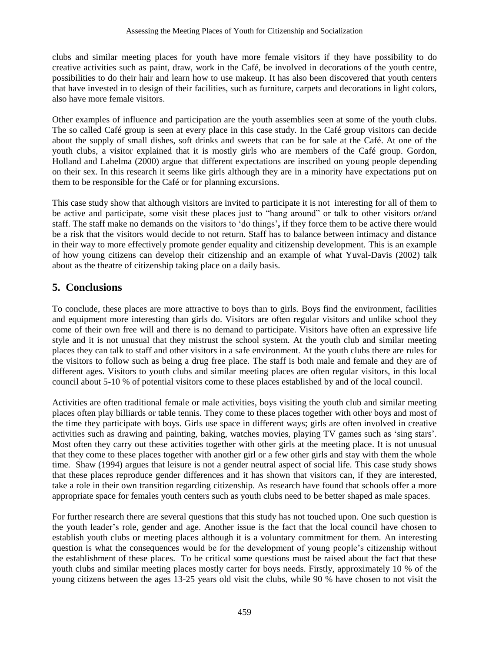clubs and similar meeting places for youth have more female visitors if they have possibility to do creative activities such as paint, draw, work in the Café, be involved in decorations of the youth centre, possibilities to do their hair and learn how to use makeup. It has also been discovered that youth centers that have invested in to design of their facilities, such as furniture, carpets and decorations in light colors, also have more female visitors.

Other examples of influence and participation are the youth assemblies seen at some of the youth clubs. The so called Café group is seen at every place in this case study. In the Café group visitors can decide about the supply of small dishes, soft drinks and sweets that can be for sale at the Café. At one of the youth clubs, a visitor explained that it is mostly girls who are members of the Café group. Gordon, Holland and Lahelma (2000) argue that different expectations are inscribed on young people depending on their sex. In this research it seems like girls although they are in a minority have expectations put on them to be responsible for the Café or for planning excursions.

This case study show that although visitors are invited to participate it is not interesting for all of them to be active and participate, some visit these places just to "hang around" or talk to other visitors or/and staff. The staff make no demands on the visitors to "do things"**,** if they force them to be active there would be a risk that the visitors would decide to not return. Staff has to balance between intimacy and distance in their way to more effectively promote gender equality and citizenship development. This is an example of how young citizens can develop their citizenship and an example of what Yuval-Davis (2002) talk about as the theatre of citizenship taking place on a daily basis.

# **5. Conclusions**

To conclude, these places are more attractive to boys than to girls. Boys find the environment, facilities and equipment more interesting than girls do. Visitors are often regular visitors and unlike school they come of their own free will and there is no demand to participate. Visitors have often an expressive life style and it is not unusual that they mistrust the school system. At the youth club and similar meeting places they can talk to staff and other visitors in a safe environment. At the youth clubs there are rules for the visitors to follow such as being a drug free place. The staff is both male and female and they are of different ages. Visitors to youth clubs and similar meeting places are often regular visitors, in this local council about 5-10 % of potential visitors come to these places established by and of the local council.

Activities are often traditional female or male activities, boys visiting the youth club and similar meeting places often play billiards or table tennis. They come to these places together with other boys and most of the time they participate with boys. Girls use space in different ways; girls are often involved in creative activities such as drawing and painting, baking, watches movies, playing TV games such as 'sing stars'. Most often they carry out these activities together with other girls at the meeting place. It is not unusual that they come to these places together with another girl or a few other girls and stay with them the whole time. Shaw (1994) argues that leisure is not a gender neutral aspect of social life. This case study shows that these places reproduce gender differences and it has shown that visitors can, if they are interested, take a role in their own transition regarding citizenship. As research have found that schools offer a more appropriate space for females youth centers such as youth clubs need to be better shaped as male spaces.

For further research there are several questions that this study has not touched upon. One such question is the youth leader"s role, gender and age. Another issue is the fact that the local council have chosen to establish youth clubs or meeting places although it is a voluntary commitment for them. An interesting question is what the consequences would be for the development of young people"s citizenship without the establishment of these places. To be critical some questions must be raised about the fact that these youth clubs and similar meeting places mostly carter for boys needs. Firstly, approximately 10 % of the young citizens between the ages 13-25 years old visit the clubs, while 90 % have chosen to not visit the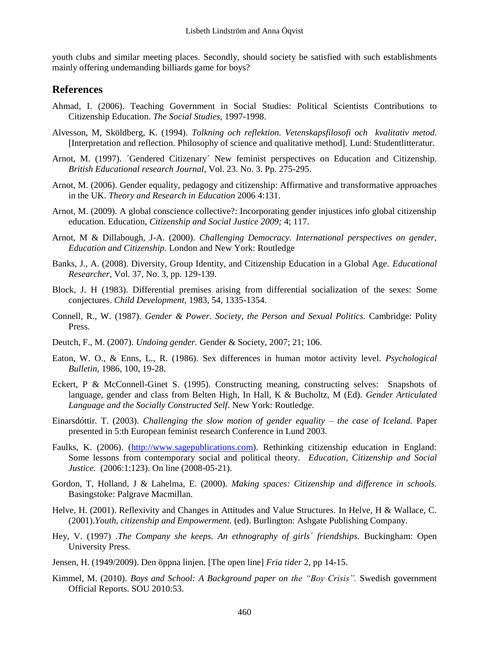youth clubs and similar meeting places. Secondly, should society be satisfied with such establishments mainly offering undemanding billiards game for boys?

#### **References**

- Ahmad, I. (2006). Teaching Government in Social Studies: Political Scientists Contributions to Citizenship Education. *The Social Studies,* 1997-1998.
- Alvesson, M, Sköldberg, K. (1994). *Tolkning och reflektion. Vetenskapsfilosofi och kvalitativ metod.* [Interpretation and reflection. Philosophy of science and qualitative method]. Lund: Studentlitteratur.
- Arnot, M. (1997). ´Gendered Citizenary´ New feminist perspectives on Education and Citizenship. *British Educational research Journal,* Vol. 23. No. 3. Pp. 275-295.
- Arnot, M. (2006). Gender equality, pedagogy and citizenship: Affirmative and transformative approaches in the UK. *Theory and Research in Education* 2006 4:131.
- Arnot, M. (2009). A global conscience collective?: Incorporating gender injustices info global citizenship education. Education, *Citizenship and Social Justice 2009;* 4; 117.
- Arnot, M & Dillabough, J-A. (2000). *Challenging Democracy. International perspectives on gender, Education and Citizenship.* London and New York: Routledge
- Banks, J., A. (2008). Diversity, Group Identity, and Citizenship Education in a Global Age. *Educational Researcher,* Vol. 37, No. 3, pp. 129-139.
- Block, J. H (1983). Differential premises arising from differential socialization of the sexes: Some conjectures. *Child Development,* 1983, 54, 1335-1354.
- Connell, R., W. (1987). *Gender & Power. Society, the Person and Sexual Politics.* Cambridge: Polity Press.
- Deutch, F., M. (2007). *Undoing gender.* Gender & Society, 2007; 21; 106.
- Eaton, W. O., & Enns, L., R. (1986). Sex differences in human motor activity level. *Psychological Bulletin,* 1986, 100, 19-28.
- Eckert, P & McConnell-Ginet S. (1995). Constructing meaning, constructing selves: Snapshots of language, gender and class from Belten High, In Hall, K & Bucholtz, M (Ed). *Gender Articulated Language and the Socially Constructed Self*. New York: Routledge.
- Einarsdóttir. T. (2003). *Challenging the slow motion of gender equality – the case of Iceland.* Paper presented in 5:th European feminist research Conference in Lund 2003.
- Faulks, K. (2006). [\(http://www.sagepublications.com\)](http://www.sagepublications.com/). Rethinking citizenship education in England: Some lessons from contemporary social and political theory. *Education, Citizenship and Social Justice.* (2006:1:123). On line (2008-05-21).
- Gordon, T, Holland, J & Lahelma, E. (2000). *Making spaces: Citizenship and difference in schools.* Basingstoke: Palgrave Macmillan.
- Helve, H. (2001). Reflexivity and Changes in Attitudes and Value Structures*.* In Helve, H & Wallace, C. (2001).*Youth, citizenship and Empowerment.* (ed). Burlington: Ashgate Publishing Company.
- Hey, V. (1997) .*The Company she keeps. An ethnography of girls´ friendships.* Buckingham: Open University Press.
- Jensen, H. (1949/2009). Den öppna linjen. [The open line] *Fria tider* 2, pp 14-15.
- Kimmel, M. (2010). *Boys and School: A Background paper on the "Boy Crisis".* Swedish government Official Reports. SOU 2010:53.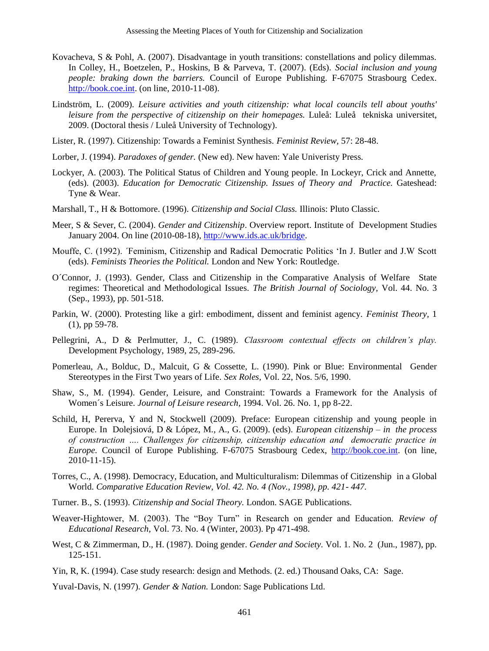- Kovacheva, S & Pohl, A. (2007). Disadvantage in youth transitions: constellations and policy dilemmas. In Colley, H., Boetzelen, P., Hoskins, B & Parveva, T. (2007). (Eds). *Social inclusion and young people: braking down the barriers.* Council of Europe Publishing. F-67075 Strasbourg Cedex. [http://book.coe.int.](http://book.coe.int/) (on line, 2010-11-08).
- Lindström, L. (2009). *Leisure activities and youth citizenship: what local councils tell about youths' leisure from the perspective of citizenship on their homepages.* Luleå: Luleå tekniska universitet, 2009. (Doctoral thesis / Luleå University of Technology).
- Lister, R. (1997). Citizenship: Towards a Feminist Synthesis. *Feminist Review,* 57: 28-48.
- Lorber, J. (1994). *Paradoxes of gender.* (New ed). New haven: Yale Univeristy Press.
- Lockyer, A. (2003). The Political Status of Children and Young people. In Lockeyr, Crick and Annette, (eds). (2003). *Education for Democratic Citizenship. Issues of Theory and Practice.* Gateshead: Tyne & Wear.
- Marshall, T., H & Bottomore. (1996). *Citizenship and Social Class.* Illinois: Pluto Classic.
- Meer, S & Sever, C. (2004). *Gender and Citizenship*. Overview report. Institute of Development Studies January 2004. On line (2010-08-18)[, http://www.ids.ac.uk/bridge.](http://www.ids.ac.uk/bridge)
- Mouffe, C. (1992). ´Feminism, Citizenship and Radical Democratic Politics "In J. Butler and J.W Scott (eds). *Feminists Theories the Political.* London and New York: Routledge.
- O´Connor, J. (1993). Gender, Class and Citizenship in the Comparative Analysis of Welfare State regimes: Theoretical and Methodological Issues. *The British Journal of Sociology,* Vol. 44. No. 3 (Sep., 1993), pp. 501-518.
- Parkin, W. (2000). Protesting like a girl: embodiment, dissent and feminist agency. *Feminist Theory,* 1 (1), pp 59-78.
- Pellegrini, A., D & Perlmutter, J., C. (1989). *Classroom contextual effects on children's play.* Development Psychology, 1989, 25, 289-296.
- Pomerleau, A., Bolduc, D., Malcuit, G & Cossette, L. (1990). Pink or Blue: Environmental Gender Stereotypes in the First Two years of Life. *Sex Roles,* Vol. 22, Nos. 5/6, 1990.
- Shaw, S., M. (1994). Gender, Leisure, and Constraint: Towards a Framework for the Analysis of Women´s Leisure. *Journal of Leisure research*, 1994. Vol. 26. No. 1, pp 8-22.
- Schild, H, Pererva, Y and N, Stockwell (2009). Preface: European citizenship and young people in Europe. In Dolejsiová, D & López, M., A., G. (2009). (eds). *European citizenship – in the process of construction …. Challenges for citizenship, citizenship education and democratic practice in Europe.* Council of Europe Publishing. F-67075 Strasbourg Cedex, [http://book.coe.int.](http://book.coe.int/) (on line, 2010-11-15).
- Torres, C., A. (1998). Democracy, Education, and Multiculturalism: Dilemmas of Citizenship in a Global World. *Comparative Education Review, Vol. 42. No. 4 (Nov., 1998), pp. 421- 447.*
- Turner. B., S. (1993). *Citizenship and Social Theory.* London. SAGE Publications.
- Weaver-Hightower, M. (2003). The "Boy Turn" in Research on gender and Education. *Review of Educational Research,* Vol. 73. No. 4 (Winter, 2003). Pp 471-498.
- West, C & Zimmerman, D., H. (1987). Doing gender. *Gender and Society.* Vol. 1. No. 2 (Jun., 1987), pp. 125-151.
- Yin, R, K. (1994). Case study research: design and Methods. (2. ed.) Thousand Oaks, CA: Sage.

Yuval-Davis, N. (1997). *Gender & Nation.* London: Sage Publications Ltd.